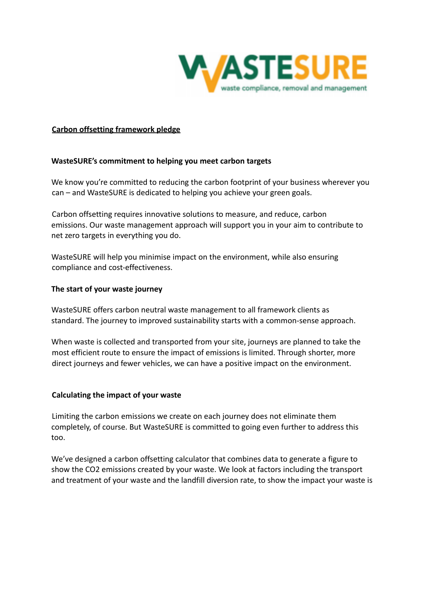

# **Carbon offsetting framework pledge**

# **WasteSURE's commitment to helping you meet carbon targets**

We know you're committed to reducing the carbon footprint of your business wherever you can – and WasteSURE is dedicated to helping you achieve your green goals.

Carbon offsetting requires innovative solutions to measure, and reduce, carbon emissions. Our waste management approach will support you in your aim to contribute to net zero targets in everything you do.

WasteSURE will help you minimise impact on the environment, while also ensuring compliance and cost-effectiveness.

# **The start of your waste journey**

WasteSURE offers carbon neutral waste management to all framework clients as standard. The journey to improved sustainability starts with a common-sense approach.

When waste is collected and transported from your site, journeys are planned to take the most efficient route to ensure the impact of emissions is limited. Through shorter, more direct journeys and fewer vehicles, we can have a positive impact on the environment.

## **Calculating the impact of your waste**

Limiting the carbon emissions we create on each journey does not eliminate them completely, of course. But WasteSURE is committed to going even further to address this too.

We've designed a carbon offsetting calculator that combines data to generate a figure to show the CO2 emissions created by your waste. We look at factors including the transport and treatment of your waste and the landfill diversion rate, to show the impact your waste is